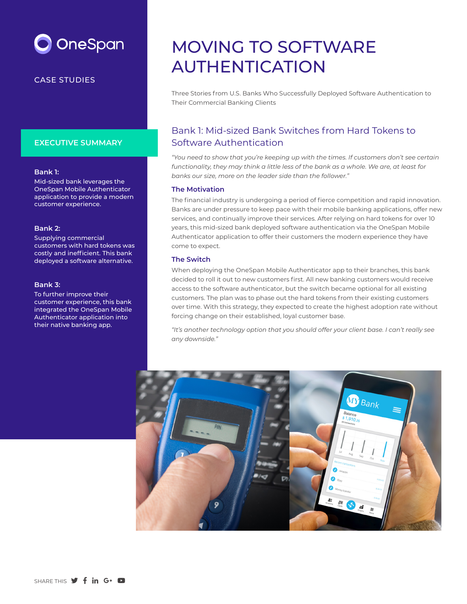# OneSpan

### CASE STUDIES

### **EXECUTIVE SUMMARY**

#### **Bank 1:**

Mid-sized bank leverages the OneSpan Mobile Authenticator application to provide a modern customer experience.

#### **Bank 2:**

Supplying commercial customers with hard tokens was costly and inefficient. This bank deployed a software alternative.

#### **Bank 3:**

To further improve their customer experience, this bank integrated the OneSpan Mobile Authenticator application into their native banking app.

## MOVING TO SOFTWARE AUTHENTICATION

Three Stories from U.S. Banks Who Successfully Deployed Software Authentication to Their Commercial Banking Clients

## Bank 1: Mid-sized Bank Switches from Hard Tokens to Software Authentication

*"You need to show that you're keeping up with the times. If customers don't see certain functionality, they may think a little less of the bank as a whole. We are, at least for banks our size, more on the leader side than the follower."*

#### **The Motivation**

The financial industry is undergoing a period of fierce competition and rapid innovation. Banks are under pressure to keep pace with their mobile banking applications, offer new services, and continually improve their services. After relying on hard tokens for over 10 years, this mid-sized bank deployed software authentication via the OneSpan Mobile Authenticator application to offer their customers the modern experience they have come to expect.

#### **The Switch**

When deploying the OneSpan Mobile Authenticator app to their branches, this bank decided to roll it out to new customers first. All new banking customers would receive access to the software authenticator, but the switch became optional for all existing customers. The plan was to phase out the hard tokens from their existing customers over time. With this strategy, they expected to create the highest adoption rate without forcing change on their established, loyal customer base.

*"It's another technology option that you should offer your client base. I can't really see any downside."*